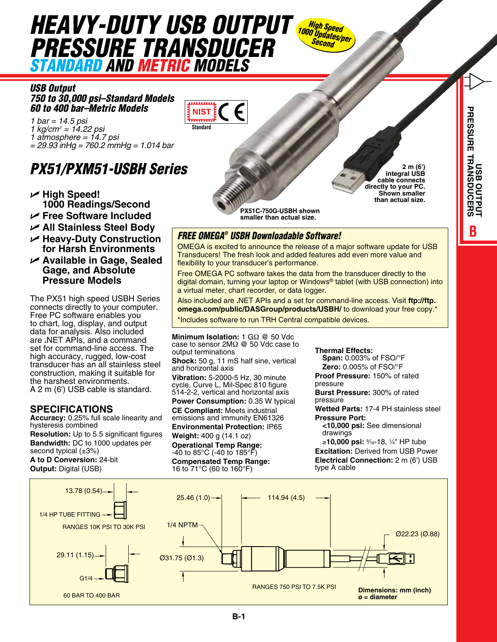# *HEAVY-DUTY USB OUTPUT High Speed PRESSURE TRANSDUCER Standard and Metric Models*

*USB Output 750 to 30,000 psi–Standard Models 60 to 400 bar–Metric Models*

*1 bar = 14.5 psi 1 kg/cm2 = 14.22 psi 1 atmosphere = 14.7 psi = 29.93 inHg = 760.2 mmHg = 1.014 bar*

## *PX51/PXM51-USBH Series*

- U **High Speed! 1000 Readings/Second**
- U **Free Software Included**
- U **All Stainless Steel Body**
- U **Heavy-Duty Construction for Harsh Environments**
- U **Available in Gage, Sealed Gage, and Absolute Pressure Models**

The PX51 high speed USBH Series connects directly to your computer. Free PC software enables you to chart, log, display, and output data for analysis. Also included are **.**NET APIs, and a command set for command-line access. The high accuracy, rugged, low-cost transducer has an all stainless steel construction, making it suitable for the harshest environments. A 2 m (6') USB cable is standard.

## **SPECIFICATIONS**

**Accuracy:** 0.25% full scale linearity and hysteresis combined **Resolution:** Up to 5.5 significant figures **Bandwidth:** DC to 1000 updates per second typical (±3%) **A to D Conversion:** 24-bit

**Output: Digital (USB)** 



**2 m (6') integral USB cable connects directly to your PC. Shown smaller than actual size.**

**PX51C-750G-USBH shown smaller than actual size.**

### *FREE OMEGA® USBH Downloadable Software!*

OMEGA is excited to announce the release of a major software update for USB Transducers! The fresh look and added features add even more value and flexibility to your transducer's performance.

*1000 Updates/per Second*

Free OMEGA PC software takes the data from the transducer directly to the digital domain, turning your laptop or Windows® tablet (with USB connection) into a virtual meter, chart recorder, or data logger.

**omega.com/public/DASGroup/products/USBH/** to download your free copy.\* \*Includes software to run TRH Central compatible devices. Also included are **.**NET APIs and a set for command-line access. Visit **ftp://ftp.**

**Vibration:** 5-2000-5 Hz, 30 minute **Minimum Isolation:** 1 GΩ @ 50 Vdc case to sensor 2MΩ @ 50 Vdc case to output terminations **Shock:** 50 g, 11 mS half sine, vertical and horizontal axis cycle, Curve L, Mil-Spec 810 figure 514-2-2, vertical and horizontal axis **Power Consumption:** 0.35 W typical **CE Compliant:** Meets industrial emissions and immunity EN61326 **Environmental Protection:** IP65 **Weight:** 400 g (14.1 oz) **Operational Temp Range:** -40 to 85°C (-40 to 185°F) **Compensated Temp Range:**

16 to 71°C (60 to 160°F)

#### **Thermal Effects:**

**Span:** 0.003% of FSO/°F **Zero:** 0.005% of FSO/°F **Proof Pressure:** 150% of rated pressure

**Burst Pressure:** 300% of rated pressure

**Wetted Parts:** 17-4 PH stainless steel **Pressure Port:**

**<10,000 psi:** See dimensional drawings

≥**10,000 psi:** <sup>9</sup> ⁄16-18, 1 ⁄4" HP tube **Excitation:** Derived from USB Power **Electrical Connection:** 2 m (6') USB type A cable

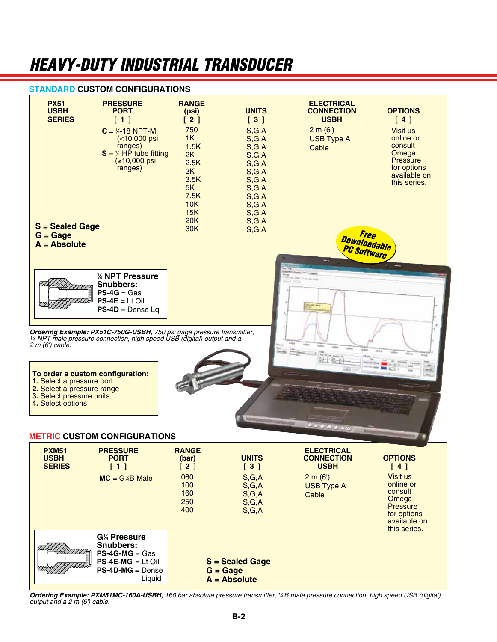## *Heavy-Duty Industrial Transducer*

#### **STANDARD CUSTOM CONFIGURATIONS**



**Ordering Example: PXM51MC-160A-USBH**, 160 bar absolute pressure transmitter, ¼B male pressure connection, high speed USB (digital) *output and a 2 m (6') cable.*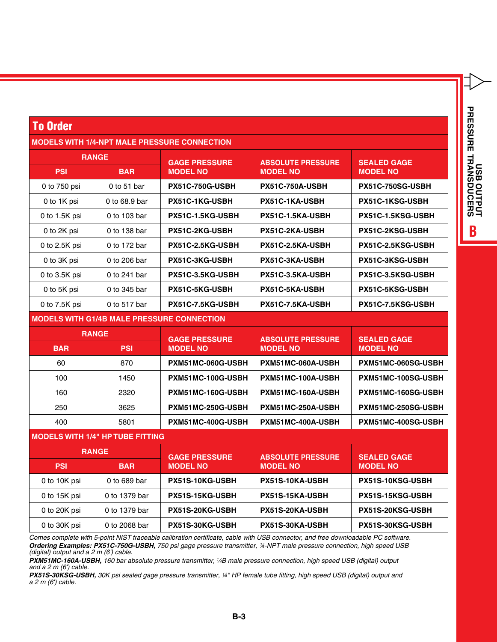| J<br>J<br>:<br>ļ<br>Ž<br>ì<br>i<br>Ľ<br>ŧ<br>7 |
|------------------------------------------------|
|                                                |

## To Order

#### **MODELS WITH 1/4-NPT MALE PRESSURE CONNECTION**

| <b>RANGE</b>                                      |               | <b>GAGE PRESSURE</b>   | <b>ABSOLUTE PRESSURE</b> | <b>SEALED GAGE</b>       |  |
|---------------------------------------------------|---------------|------------------------|--------------------------|--------------------------|--|
| <b>PSI</b>                                        | <b>BAR</b>    | <b>MODEL NO</b>        | <b>MODEL NO</b>          | <b>MODEL NO</b>          |  |
| 0 to 750 psi                                      | 0 to 51 bar   | <b>PX51C-750G-USBH</b> | <b>PX51C-750A-USBH</b>   | PX51C-750SG-USBH         |  |
| 0 to 1K psi                                       | 0 to 68.9 bar | PX51C-1KG-USBH         | PX51C-1KA-USBH           | <b>PX51C-1KSG-USBH</b>   |  |
| 0 to 1.5K psi                                     | 0 to 103 bar  | PX51C-1.5KG-USBH       | PX51C-1.5KA-USBH         | <b>PX51C-1.5KSG-USBH</b> |  |
| 0 to 2K psi                                       | 0 to 138 bar  | PX51C-2KG-USBH         | PX51C-2KA-USBH           | PX51C-2KSG-USBH          |  |
| 0 to 2.5K psi                                     | 0 to 172 bar  | PX51C-2.5KG-USBH       | PX51C-2.5KA-USBH         | PX51C-2.5KSG-USBH        |  |
| 0 to 3K psi                                       | 0 to 206 bar  | <b>PX51C-3KG-USBH</b>  | <b>PX51C-3KA-USBH</b>    | <b>PX51C-3KSG-USBH</b>   |  |
| 0 to $3.5K$ psi                                   | 0 to 241 bar  | PX51C-3.5KG-USBH       | PX51C-3.5KA-USBH         | <b>PX51C-3.5KSG-USBH</b> |  |
| 0 to 5K psi                                       | 0 to 345 bar  | <b>PX51C-5KG-USBH</b>  | <b>PX51C-5KA-USBH</b>    | <b>PX51C-5KSG-USBH</b>   |  |
| 0 to $7.5K$ psi                                   | 0 to 517 bar  | PX51C-7.5KG-USBH       | <b>PX51C-7.5KA-USBH</b>  | PX51C-7.5KSG-USBH        |  |
| <b>MODELS WITH G1/4B MALE PRESSURE CONNECTION</b> |               |                        |                          |                          |  |

| <b>RANGE</b> |            | <b>GAGE PRESSURE</b> | <b>ABSOLUTE PRESSURE</b> | <b>SEALED GAGE</b>        |
|--------------|------------|----------------------|--------------------------|---------------------------|
| <b>BAR</b>   | <b>PSI</b> | <b>MODEL NO</b>      | <b>MODEL NO</b>          | <b>MODEL NO</b>           |
| 60           | 870        | PXM51MC-060G-USBH    | PXM51MC-060A-USBH        | PXM51MC-060SG-USBH        |
| 100          | 1450       | PXM51MC-100G-USBH    | PXM51MC-100A-USBH        | PXM51MC-100SG-USBH        |
| 160          | 2320       | PXM51MC-160G-USBH    | PXM51MC-160A-USBH        | PXM51MC-160SG-USBH        |
| 250          | 3625       | PXM51MC-250G-USBH    | PXM51MC-250A-USBH        | PXM51MC-250SG-USBH        |
| 400          | 5801       | PXM51MC-400G-USBH    | PXM51MC-400A-USBH        | <b>PXM51MC-400SG-USBH</b> |

#### **MODELS WITH 1/4" HP TUBE FITTING**

| <b>RANGE</b> |               | <b>GAGE PRESSURE</b> | <b>ABSOLUTE PRESSURE</b> | <b>SEALED GAGE</b>      |
|--------------|---------------|----------------------|--------------------------|-------------------------|
| <b>PSI</b>   | <b>BAR</b>    | <b>MODEL NO</b>      | <b>MODEL NO</b>          | <b>MODEL NO</b>         |
| 0 to 10K psi | 0 to 689 bar  | PX51S-10KG-USBH      | PX51S-10KA-USBH          | PX51S-10KSG-USBH        |
| 0 to 15K psi | 0 to 1379 bar | PX51S-15KG-USBH      | PX51S-15KA-USBH          | PX51S-15KSG-USBH        |
| 0 to 20K psi | 0 to 1379 bar | PX51S-20KG-USBH      | PX51S-20KA-USBH          | <b>PX51S-20KSG-USBH</b> |
| 0 to 30K psi | 0 to 2068 bar | PX51S-30KG-USBH      | PX51S-30KA-USBH          | PX51S-30KSG-USBH        |

*Comes complete with 5-point NIST traceable calibration certificate, cable with USB connector, and free downloadable PC software. Ordering Examples: PX51C-750G-USBH, 750 psi gage pressure transmitter, ¼-NPT male pressure connection, high speed USB (digital) output and a 2 m (6') cable.*

*PXM51MC-160A-USBH, 160 bar absolute pressure transmitter, 1 ⁄4B male pressure connection, high speed USB (digital) output and a 2 m (6') cable.*

*PX51S-30KSG-USBH, 30K psi sealed gage pressure transmitter, ¼" HP female tube fitting, high speed USB (digital) output and a 2 m (6') cable.*